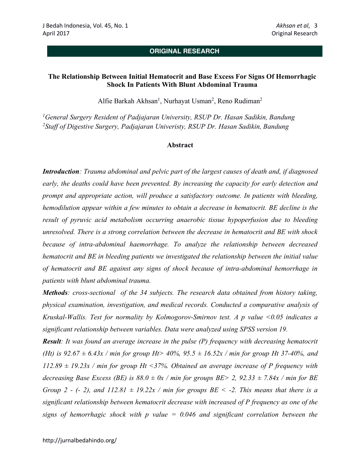# **ORIGINAL RESEARCH**

## **The Relationship Between Initial Hematocrit and Base Excess For Signs Of Hemorrhagic Shock In Patients With Blunt Abdominal Trauma**

Alfie Barkah Akhsan<sup>1</sup>, Nurhayat Usman<sup>2</sup>, Reno Rudiman<sup>2</sup>

*1General Surgery Resident of Padjajaran University, RSUP Dr. Hasan Sadikin, Bandung 2Staff of Digestive Surgery, Padjajaran Univeristy, RSUP Dr. Hasan Sadikin, Bandung*

#### **Abstract**

*Introduction: Trauma abdominal and pelvic part of the largest causes of death and, if diagnosed early, the deaths could have been prevented. By increasing the capacity for early detection and prompt and appropriate action, will produce a satisfactory outcome. In patients with bleeding, hemodilution appear within a few minutes to obtain a decrease in hematocrit. BE decline is the result of pyruvic acid metabolism occurring anaerobic tissue hypoperfusion due to bleeding unresolved. There is a strong correlation between the decrease in hematocrit and BE with shock because of intra-abdominal haemorrhage. To analyze the relationship between decreased hematocrit and BE in bleeding patients we investigated the relationship between the initial value of hematocrit and BE against any signs of shock because of intra-abdominal hemorrhage in patients with blunt abdominal trauma.*

*Methods: cross-sectional of the 34 subjects. The research data obtained from history taking, physical examination, investigation, and medical records. Conducted a comparative analysis of Kruskal-Wallis. Test for normality by Kolmogorov-Smirnov test. A p value <0.05 indicates a significant relationship between variables. Data were analyzed using SPSS version 19.*

*Result: It was found an average increase in the pulse (P) frequency with decreasing hematocrit (Ht) is 92.67 ± 6.43x / min for group Ht> 40%, 95.5 ± 16.52x / min for group Ht 37-40%, and 112.89 ± 19.23x / min for group Ht <37%. Obtained an average increase of P frequency with decreasing Base Excess (BE) is*  $88.0 \pm 0x$  */ min for groups BE> 2, 92.33*  $\pm 7.84x$  */ min for BE Group 2 - (- 2), and*  $112.81 \pm 19.22x$  */ min for groups BE < -2. This means that there is a significant relationship between hematocrit decrease with increased of P frequency as one of the signs of hemorrhagic shock with p value = 0.046 and significant correlation between the*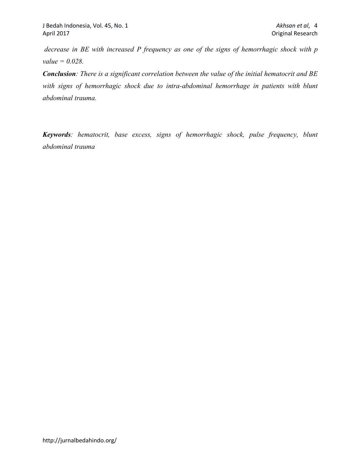*decrease in BE with increased P frequency as one of the signs of hemorrhagic shock with p value = 0.028.*

*Conclusion: There is a significant correlation between the value of the initial hematocrit and BE*  with signs of hemorrhagic shock due to intra-abdominal hemorrhage in patients with blunt *abdominal trauma.*

*Keywords: hematocrit, base excess, signs of hemorrhagic shock, pulse frequency, blunt abdominal trauma*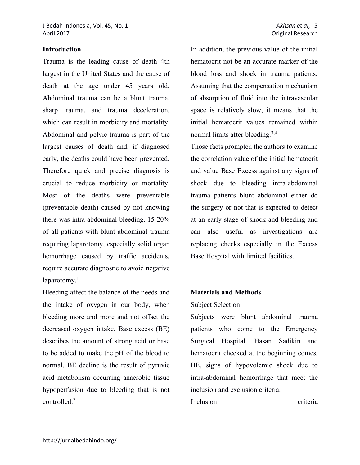### **Introduction**

Trauma is the leading cause of death 4th largest in the United States and the cause of death at the age under 45 years old. Abdominal trauma can be a blunt trauma, sharp trauma, and trauma deceleration, which can result in morbidity and mortality. Abdominal and pelvic trauma is part of the largest causes of death and, if diagnosed early, the deaths could have been prevented. Therefore quick and precise diagnosis is crucial to reduce morbidity or mortality. Most of the deaths were preventable (preventable death) caused by not knowing there was intra-abdominal bleeding. 15-20% of all patients with blunt abdominal trauma requiring laparotomy, especially solid organ hemorrhage caused by traffic accidents, require accurate diagnostic to avoid negative laparotomy. $<sup>1</sup>$ </sup>

Bleeding affect the balance of the needs and the intake of oxygen in our body, when bleeding more and more and not offset the decreased oxygen intake. Base excess (BE) describes the amount of strong acid or base to be added to make the pH of the blood to normal. BE decline is the result of pyruvic acid metabolism occurring anaerobic tissue hypoperfusion due to bleeding that is not controlled<sup>2</sup>

In addition, the previous value of the initial hematocrit not be an accurate marker of the blood loss and shock in trauma patients. Assuming that the compensation mechanism of absorption of fluid into the intravascular space is relatively slow, it means that the initial hematocrit values remained within normal limits after bleeding.<sup>3,4</sup>

Those facts prompted the authors to examine the correlation value of the initial hematocrit and value Base Excess against any signs of shock due to bleeding intra-abdominal trauma patients blunt abdominal either do the surgery or not that is expected to detect at an early stage of shock and bleeding and can also useful as investigations are replacing checks especially in the Excess Base Hospital with limited facilities.

#### **Materials and Methods**

#### Subject Selection

Subjects were blunt abdominal trauma patients who come to the Emergency Surgical Hospital. Hasan Sadikin and hematocrit checked at the beginning comes, BE, signs of hypovolemic shock due to intra-abdominal hemorrhage that meet the inclusion and exclusion criteria.

Inclusion criteria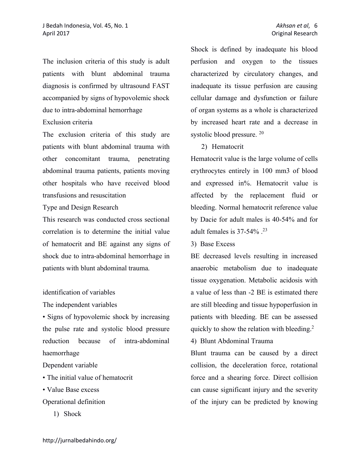The inclusion criteria of this study is adult patients with blunt abdominal trauma diagnosis is confirmed by ultrasound FAST accompanied by signs of hypovolemic shock due to intra-abdominal hemorrhage

# Exclusion criteria

The exclusion criteria of this study are patients with blunt abdominal trauma with other concomitant trauma, penetrating abdominal trauma patients, patients moving other hospitals who have received blood transfusions and resuscitation

Type and Design Research

This research was conducted cross sectional correlation is to determine the initial value of hematocrit and BE against any signs of shock due to intra-abdominal hemorrhage in patients with blunt abdominal trauma.

#### identification of variables

The independent variables

• Signs of hypovolemic shock by increasing the pulse rate and systolic blood pressure reduction because of intra-abdominal haemorrhage

Dependent variable

- The initial value of hematocrit
- Value Base excess
- Operational definition
	- 1) Shock

Shock is defined by inadequate his blood perfusion and oxygen to the tissues characterized by circulatory changes, and inadequate its tissue perfusion are causing cellular damage and dysfunction or failure of organ systems as a whole is characterized by increased heart rate and a decrease in systolic blood pressure. 20

2) Hematocrit

Hematocrit value is the large volume of cells erythrocytes entirely in 100 mm3 of blood and expressed in%. Hematocrit value is affected by the replacement fluid or bleeding. Normal hematocrit reference value by Dacie for adult males is 40-54% and for adult females is  $37-54\%$ .<sup>23</sup>

3) Base Excess

BE decreased levels resulting in increased anaerobic metabolism due to inadequate tissue oxygenation. Metabolic acidosis with a value of less than -2 BE is estimated there are still bleeding and tissue hypoperfusion in patients with bleeding. BE can be assessed quickly to show the relation with bleeding.2

4) Blunt Abdominal Trauma

Blunt trauma can be caused by a direct collision, the deceleration force, rotational force and a shearing force. Direct collision can cause significant injury and the severity of the injury can be predicted by knowing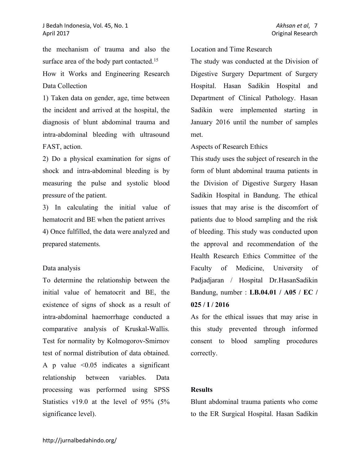the mechanism of trauma and also the surface area of the body part contacted.<sup>15</sup> How it Works and Engineering Research Data Collection

1) Taken data on gender, age, time between the incident and arrived at the hospital, the diagnosis of blunt abdominal trauma and intra-abdominal bleeding with ultrasound FAST, action.

2) Do a physical examination for signs of shock and intra-abdominal bleeding is by measuring the pulse and systolic blood pressure of the patient.

3) In calculating the initial value of hematocrit and BE when the patient arrives 4) Once fulfilled, the data were analyzed and prepared statements.

### Data analysis

To determine the relationship between the initial value of hematocrit and BE, the existence of signs of shock as a result of intra-abdominal haemorrhage conducted a comparative analysis of Kruskal-Wallis. Test for normality by Kolmogorov-Smirnov test of normal distribution of data obtained. A p value  $\leq 0.05$  indicates a significant relationship between variables. Data processing was performed using SPSS Statistics v19.0 at the level of 95% (5% significance level).

Location and Time Research

The study was conducted at the Division of Digestive Surgery Department of Surgery Hospital. Hasan Sadikin Hospital and Department of Clinical Pathology. Hasan Sadikin were implemented starting in January 2016 until the number of samples met.

Aspects of Research Ethics

This study uses the subject of research in the form of blunt abdominal trauma patients in the Division of Digestive Surgery Hasan Sadikin Hospital in Bandung. The ethical issues that may arise is the discomfort of patients due to blood sampling and the risk of bleeding. This study was conducted upon the approval and recommendation of the Health Research Ethics Committee of the Faculty of Medicine, University of Padjadjaran / Hospital Dr.HasanSadikin Bandung, number : **LB.04.01 / A05 / EC / 025 / I / 2016**

As for the ethical issues that may arise in this study prevented through informed consent to blood sampling procedures correctly.

# **Results**

Blunt abdominal trauma patients who come to the ER Surgical Hospital. Hasan Sadikin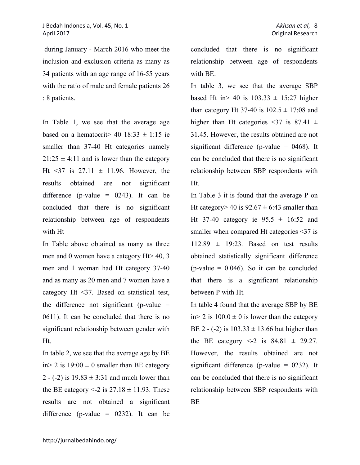during January - March 2016 who meet the inclusion and exclusion criteria as many as 34 patients with an age range of 16-55 years with the ratio of male and female patients 26 : 8 patients.

In Table 1, we see that the average age based on a hematocrit> 40 18:33  $\pm$  1:15 ie smaller than 37-40 Ht categories namely  $21:25 \pm 4:11$  and is lower than the category Ht <37 is  $27.11 \pm 11.96$ . However, the results obtained are not significant difference (p-value =  $0243$ ). It can be concluded that there is no significant relationship between age of respondents with Ht

In Table above obtained as many as three men and 0 women have a category Ht> 40, 3 men and 1 woman had Ht category 37-40 and as many as 20 men and 7 women have a category Ht <37. Based on statistical test, the difference not significant (p-value  $=$ 0611). It can be concluded that there is no significant relationship between gender with Ht.

In table 2, we see that the average age by BE in > 2 is  $19:00 \pm 0$  smaller than BE category 2 - (-2) is  $19.83 \pm 3.31$  and much lower than the BE category  $\leq$  2 is 27.18  $\pm$  11.93. These results are not obtained a significant difference (p-value =  $0232$ ). It can be concluded that there is no significant relationship between age of respondents with BE.

In table 3, we see that the average SBP based Ht in > 40 is  $103.33 \pm 15:27$  higher than category Ht 37-40 is  $102.5 \pm 17:08$  and higher than Ht categories <37 is 87.41  $\pm$ 31.45. However, the results obtained are not significant difference (p-value  $= 0468$ ). It can be concluded that there is no significant relationship between SBP respondents with Ht.

In Table 3 it is found that the average P on Ht category  $> 40$  is  $92.67 \pm 6.43$  smaller than Ht 37-40 category ie  $95.5 \pm 16:52$  and smaller when compared Ht categories <37 is  $112.89 \pm 19:23$ . Based on test results obtained statistically significant difference (p-value  $= 0.046$ ). So it can be concluded that there is a significant relationship between P with Ht.

In table 4 found that the average SBP by BE in > 2 is  $100.0 \pm 0$  is lower than the category BE 2 - (-2) is  $103.33 \pm 13.66$  but higher than the BE category  $\leq 2$  is 84.81  $\pm$  29.27. However, the results obtained are not significant difference (p-value  $= 0232$ ). It can be concluded that there is no significant relationship between SBP respondents with BE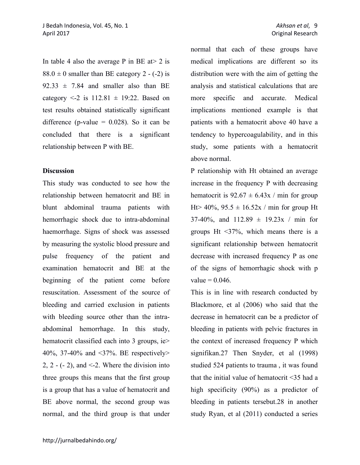In table 4 also the average P in BE at  $> 2$  is  $88.0 \pm 0$  smaller than BE category 2 - (-2) is  $92.33 \pm 7.84$  and smaller also than BE category  $\leq 2$  is  $112.81 \pm 19.22$ . Based on test results obtained statistically significant difference (p-value  $= 0.028$ ). So it can be concluded that there is a significant relationship between P with BE.

### **Discussion**

This study was conducted to see how the relationship between hematocrit and BE in blunt abdominal trauma patients with hemorrhagic shock due to intra-abdominal haemorrhage. Signs of shock was assessed by measuring the systolic blood pressure and pulse frequency of the patient and examination hematocrit and BE at the beginning of the patient come before resuscitation. Assessment of the source of bleeding and carried exclusion in patients with bleeding source other than the intraabdominal hemorrhage. In this study, hematocrit classified each into 3 groups, ie> 40%, 37-40% and <37%. BE respectively> 2,  $2 - (-2)$ , and  $\le -2$ . Where the division into three groups this means that the first group is a group that has a value of hematocrit and BE above normal, the second group was normal, and the third group is that under

normal that each of these groups have medical implications are different so its distribution were with the aim of getting the analysis and statistical calculations that are more specific and accurate. Medical implications mentioned example is that patients with a hematocrit above 40 have a tendency to hypercoagulability, and in this study, some patients with a hematocrit above normal.

P relationship with Ht obtained an average increase in the frequency P with decreasing hematocrit is  $92.67 \pm 6.43x$  / min for group Ht  $> 40\%$ ,  $95.5 \pm 16.52x / \text{min}$  for group Ht 37-40%, and  $112.89 \pm 19.23x / min$  for groups Ht <37%, which means there is a significant relationship between hematocrit decrease with increased frequency P as one of the signs of hemorrhagic shock with p  $value = 0.046$ .

This is in line with research conducted by Blackmore, et al (2006) who said that the decrease in hematocrit can be a predictor of bleeding in patients with pelvic fractures in the context of increased frequency P which signifikan.27 Then Snyder, et al (1998) studied 524 patients to trauma , it was found that the initial value of hematocrit <35 had a high specificity (90%) as a predictor of bleeding in patients tersebut.28 in another study Ryan, et al (2011) conducted a series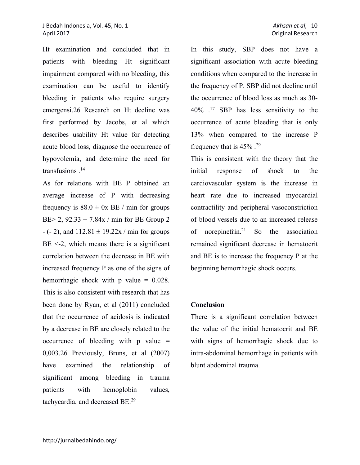Ht examination and concluded that in patients with bleeding Ht significant impairment compared with no bleeding, this examination can be useful to identify bleeding in patients who require surgery emergensi.26 Research on Ht decline was first performed by Jacobs, et al which describes usability Ht value for detecting acute blood loss, diagnose the occurrence of hypovolemia, and determine the need for transfusions .14

As for relations with BE P obtained an average increase of P with decreasing frequency is  $88.0 \pm 0x$  BE / min for groups BE $> 2$ , 92.33  $\pm$  7.84x / min for BE Group 2  $- (-2)$ , and  $112.81 \pm 19.22x / \text{min}$  for groups  $BE \leq 2$ , which means there is a significant correlation between the decrease in BE with increased frequency P as one of the signs of hemorrhagic shock with  $p$  value = 0.028. This is also consistent with research that has been done by Ryan, et al (2011) concluded that the occurrence of acidosis is indicated by a decrease in BE are closely related to the occurrence of bleeding with  $p$  value  $=$ 0,003.26 Previously, Bruns, et al (2007) have examined the relationship of significant among bleeding in trauma patients with hemoglobin values, tachycardia, and decreased BE.29

In this study, SBP does not have a significant association with acute bleeding conditions when compared to the increase in the frequency of P. SBP did not decline until the occurrence of blood loss as much as 30- 40% .17 SBP has less sensitivity to the occurrence of acute bleeding that is only 13% when compared to the increase P frequency that is 45% .29

This is consistent with the theory that the initial response of shock to the cardiovascular system is the increase in heart rate due to increased myocardial contractility and peripheral vasoconstriction of blood vessels due to an increased release of norepinefrin.21 So the association remained significant decrease in hematocrit and BE is to increase the frequency P at the beginning hemorrhagic shock occurs.

## **Conclusion**

There is a significant correlation between the value of the initial hematocrit and BE with signs of hemorrhagic shock due to intra-abdominal hemorrhage in patients with blunt abdominal trauma.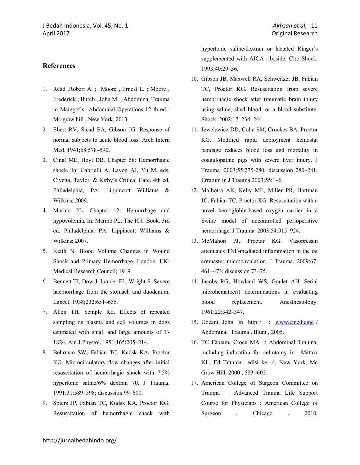- 1. Read ,Robert A. ; Moore , Ernest E. ; Moore , Frederick ; Burch , John M. : Abdominal Trauma in Maingot's Abdominal Operations 12 th ed : Mc graw hill , New York, 2013.
- 2. Ebert RV, Stead EA, Gibson JG. Response of normal subjects to acute blood loss. Arch Intern Med. 1941;68:578–590.
- 3. Cinat ME, Hoyt DB. Chapter 58: Hemorrhagic shock. In: Gabrielli A, Layon AJ, Yu M, eds. Civetta, Taylor, & Kirby's Critical Care. 4th ed. Philadelphia, PA: Lippincott Williams & Wilkins; 2009.
- 4. Marino PL. Chapter 12: Hemorrhage and hypovolemia. In: Marino PL. The ICU Book. 3rd ed. Philadelphia, PA: Lippincott Williams & Wilkins; 2007.
- 5. Keith N. Blood Volume Changes in Wound Shock and Primary Hemorrhage. London, UK: Medical Research Council; 1919.
- 6. Bennett TI, Dow J, Lander FL, Wright S. Severe haemorrhage from the stomach and duodenum. Lancet. 1938;232:651–655.
- 7. Allen TH, Semple RE. Effects of repeated sampling on plasma and cell volumes in dogs estimated with small and large amounts of T-1824. Am J Physiol. 1951;165:205–214.
- 8. Behrman SW, Fabian TC, Kudsk KA, Proctor KG. Microcirculatory flow changes after initial resuscitation of hemorrhagic shock with 7.5% hypertonic saline/6% dextran 70. J Trauma. 1991;31:589–598; discussion 99–600.
- 9. Spiers JP, Fabian TC, Kudsk KA, Proctor KG. Resuscitation of hemorrhagic shock with

hypertonic saline/dextran or lactated Ringer's supplemented with AICA riboside. Circ Shock. 1993;40:29–36.

- 10. Gibson JB, Maxwell RA, Schweitzer JB, Fabian TC, Proctor KG. Resuscitation from severe hemorrhagic shock after traumatic brain injury using saline, shed blood, or a blood substitute. Shock. 2002;17: 234–244.
- 11. Jewelewicz DD, Cohn SM, Crookes BA, Proctor KG. Modified rapid deployment hemostat bandage reduces blood loss and mortality in coagulopathic pigs with severe liver injury. J Trauma. 2003;55:275-280; discussion 280–281; Erratum in J Trauma 2003;55:1–6.
- 12. Malhotra AK, Kelly ME, Miller PR, Hartman JC, Fabian TC, Proctor KG. Resuscitation with a novel hemoglobin-based oxygen carrier in a Swine model of uncontrolled perioperative hemorrhage. J Trauma. 2003;54:915–924.
- 13. McMahon PJ, Proctor KG. Vasopressin attenuates TNF-mediated inflammation in the rat cremaster microcirculation. J Trauma. 2009;67: 461–473; discussion 73–75.
- 14. Jacobs RG, Howland WS, Goulet AH. Serial microhematocrit determinations in evaluating blood replacement. Anesthesiology. 1961;22:342–347.
- 15. Udeani, John in http / : www.emedicine / Abdominal Trauma , Blunt , 2005.
- 16. TC Fabiam, Croce MA : Abdominal Trauma, including indication for celiotomy in Mattox KL, Ed Trauma edisi ke -4, New York, Mc Grow Hill. 2000 ; 583 -602.
- 17. American College of Surgeon Committee on Trauma : Advanced Trauma Life Support Course for Physicians : American College of Surgeon , Chicago , 2010.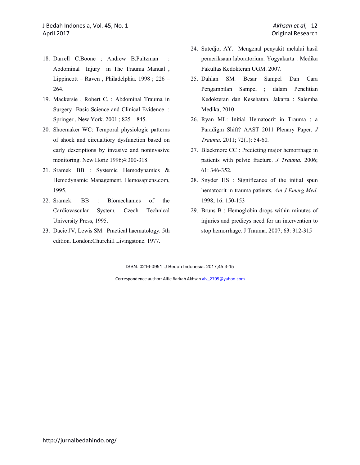- 18. Darrell C.Boone ; Andrew B.Paitzman : Abdominal Injury in The Trauma Manual , Lippincott – Raven , Philadelphia. 1998 ; 226 – 264.
- 19. Mackersie , Robert C. : Abdominal Trauma in Surgery Basic Science and Clinical Evidence : Springer , New York. 2001 ; 825 – 845.
- 20. Shoemaker WC: Temporal physiologic patterns of shock and circualtiory dysfunction based on early descriptions by invasive and noninvasive monitoring. New Horiz 1996;4:300-318.
- 21. Sramek BB : Systemic Hemodynamics & Hemodynamic Management. Hemosapiens.com, 1995.
- 22. Sramek. BB : Biomechanics of the Cardiovascular System. Czech Technical University Press, 1995.
- 23. Dacie JV, Lewis SM. Practical haematology. 5th edition. London:Churchill Livingstone. 1977.
- 24. Sutedjo, AY. Mengenal penyakit melalui hasil pemeriksaan laboratorium. Yogyakarta : Medika Fakultas Kedokteran UGM. 2007.
- 25. Dahlan SM. Besar Sampel Dan Cara Pengambilan Sampel ; dalam Penelitian Kedokteran dan Kesehatan. Jakarta : Salemba Medika, 2010
- 26. Ryan ML: Initial Hematocrit in Trauma : a Paradigm Shift? AAST 2011 Plenary Paper. *J Trauma*. 2011; 72(1): 54-60.
- 27. Blackmore CC : Predicting major hemorrhage in patients with pelvic fracture. *J Trauma*. 2006; 61: 346-352.
- 28. Snyder HS : Significance of the initial spun hematocrit in trauma patients. *Am J Emerg Med*. 1998; 16: 150-153
- 29. Bruns B : Hemoglobin drops within minutes of injuries and predicys need for an intervention to stop hemorrhage. J Trauma. 2007; 63: 312-315

ISSN: 0216-0951 J Bedah Indonesia. 2017;45:3-15

Correspondence author: Alfie Barkah Akhsan alv 2705@yahoo.com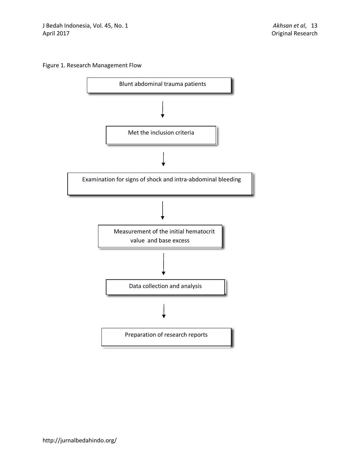### Figure 1. Research Management Flow

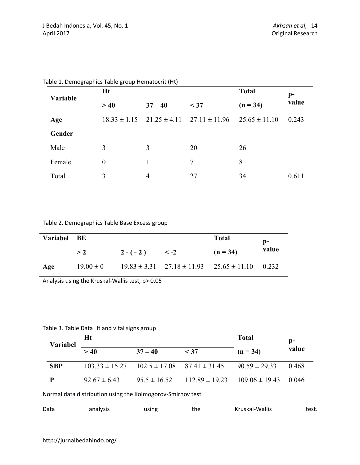| Variable | <b>Ht</b>        |                |                                                     | <b>Total</b>      | $p-$  |
|----------|------------------|----------------|-----------------------------------------------------|-------------------|-------|
|          | >40              | $37 - 40$      | < 37                                                | $(n = 34)$        | value |
| Age      |                  |                | $18.33 \pm 1.15$ $21.25 \pm 4.11$ $27.11 \pm 11.96$ | $25.65 \pm 11.10$ | 0.243 |
| Gender   |                  |                |                                                     |                   |       |
| Male     | 3                | 3              | 20                                                  | 26                |       |
| Female   | $\boldsymbol{0}$ |                | 7                                                   | 8                 |       |
| Total    | 3                | $\overline{4}$ | 27                                                  | 34                | 0.611 |

Table 1. Demographics Table group Hematocrit (Ht)

Table 2. Demographics Table Base Excess group

| Variabel BE |               |            |           |                                                            | p-    |
|-------------|---------------|------------|-----------|------------------------------------------------------------|-------|
|             | > 2           | $2 - (-2)$ | $\leq -2$ | $(n = 34)$                                                 | value |
| Age         | $19.00 \pm 0$ |            |           | $19.83 \pm 3.31$ $27.18 \pm 11.93$ $25.65 \pm 11.10$ 0.232 |       |

Analysis using the Kruskal-Wallis test, p> 0.05

Table 3. Table Data Ht and vital signs group

| <b>Variabel</b> | Ht                 |                                     |                    | <b>Total</b>             | p-    |
|-----------------|--------------------|-------------------------------------|--------------------|--------------------------|-------|
|                 | > 40               | $37 - 40$                           | $<$ 37             | $(n = 34)$               | value |
| <b>SBP</b>      | $103.33 \pm 15.27$ | $102.5 \pm 17.08$ $87.41 \pm 31.45$ |                    | $90.59 \pm 29.33$        | 0.468 |
| P               | $92.67 \pm 6.43$   | $95.5 \pm 16.52$                    | $112.89 \pm 19.23$ | $109.06 \pm 19.43$ 0.046 |       |

Normal data distribution using the Kolmogorov-Smirnov test.

| Data | analysis | using | the | Kruskal-Wallis | test. |
|------|----------|-------|-----|----------------|-------|